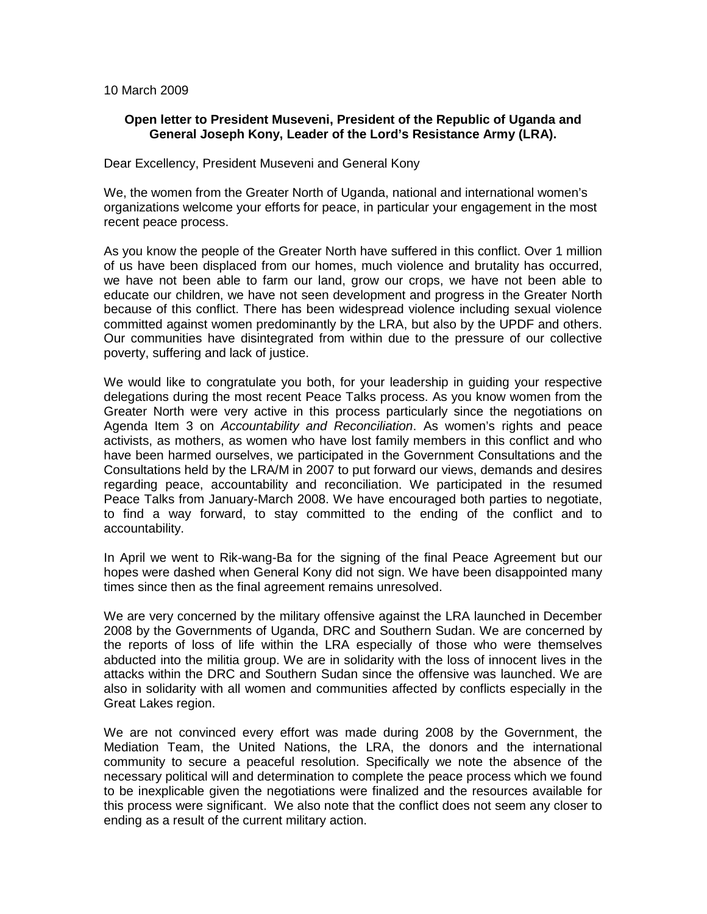## 10 March 2009

## **Open letter to President Museveni, President of the Republic of Uganda and General Joseph Kony, Leader of the Lord's Resistance Army (LRA).**

## Dear Excellency, President Museveni and General Kony

We, the women from the Greater North of Uganda, national and international women's organizations welcome your efforts for peace, in particular your engagement in the most recent peace process.

As you know the people of the Greater North have suffered in this conflict. Over 1 million of us have been displaced from our homes, much violence and brutality has occurred, we have not been able to farm our land, grow our crops, we have not been able to educate our children, we have not seen development and progress in the Greater North because of this conflict. There has been widespread violence including sexual violence committed against women predominantly by the LRA, but also by the UPDF and others. Our communities have disintegrated from within due to the pressure of our collective poverty, suffering and lack of justice.

We would like to congratulate you both, for your leadership in guiding your respective delegations during the most recent Peace Talks process. As you know women from the Greater North were very active in this process particularly since the negotiations on Agenda Item 3 on *Accountability and Reconciliation*. As women's rights and peace activists, as mothers, as women who have lost family members in this conflict and who have been harmed ourselves, we participated in the Government Consultations and the Consultations held by the LRA/M in 2007 to put forward our views, demands and desires regarding peace, accountability and reconciliation. We participated in the resumed Peace Talks from January-March 2008. We have encouraged both parties to negotiate, to find a way forward, to stay committed to the ending of the conflict and to accountability.

In April we went to Rik-wang-Ba for the signing of the final Peace Agreement but our hopes were dashed when General Kony did not sign. We have been disappointed many times since then as the final agreement remains unresolved.

We are very concerned by the military offensive against the LRA launched in December 2008 by the Governments of Uganda, DRC and Southern Sudan. We are concerned by the reports of loss of life within the LRA especially of those who were themselves abducted into the militia group. We are in solidarity with the loss of innocent lives in the attacks within the DRC and Southern Sudan since the offensive was launched. We are also in solidarity with all women and communities affected by conflicts especially in the Great Lakes region.

We are not convinced every effort was made during 2008 by the Government, the Mediation Team, the United Nations, the LRA, the donors and the international community to secure a peaceful resolution. Specifically we note the absence of the necessary political will and determination to complete the peace process which we found to be inexplicable given the negotiations were finalized and the resources available for this process were significant. We also note that the conflict does not seem any closer to ending as a result of the current military action.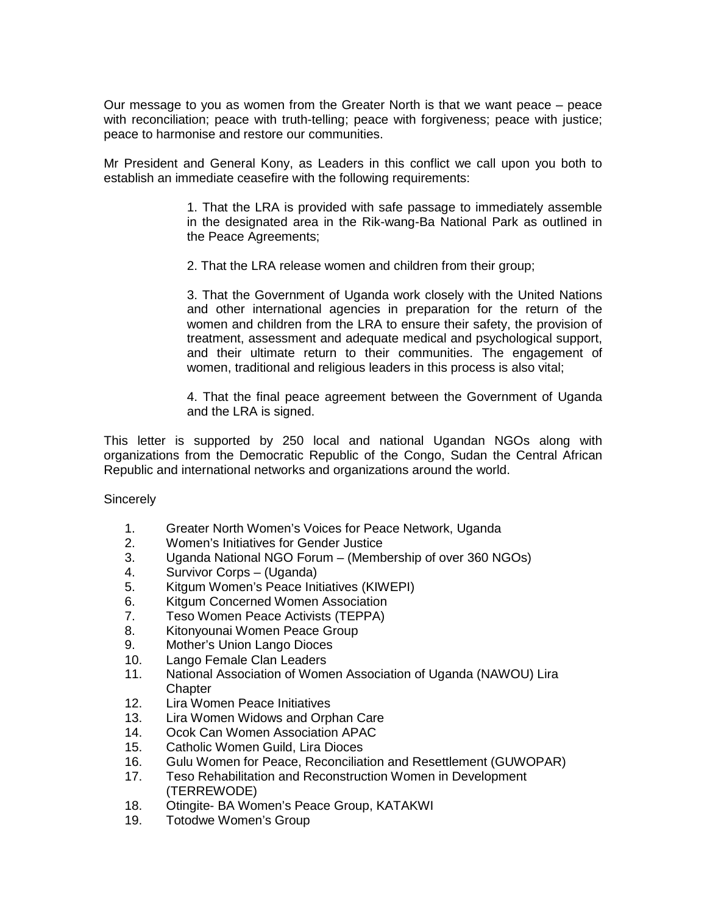Our message to you as women from the Greater North is that we want peace – peace with reconciliation; peace with truth-telling; peace with forgiveness; peace with justice; peace to harmonise and restore our communities.

Mr President and General Kony, as Leaders in this conflict we call upon you both to establish an immediate ceasefire with the following requirements:

> 1. That the LRA is provided with safe passage to immediately assemble in the designated area in the Rik-wang-Ba National Park as outlined in the Peace Agreements;

2. That the LRA release women and children from their group;

3. That the Government of Uganda work closely with the United Nations and other international agencies in preparation for the return of the women and children from the LRA to ensure their safety, the provision of treatment, assessment and adequate medical and psychological support, and their ultimate return to their communities. The engagement of women, traditional and religious leaders in this process is also vital;

4. That the final peace agreement between the Government of Uganda and the LRA is signed.

This letter is supported by 250 local and national Ugandan NGOs along with organizations from the Democratic Republic of the Congo, Sudan the Central African Republic and international networks and organizations around the world.

**Sincerely** 

- 1. Greater North Women's Voices for Peace Network, Uganda
- 2. Women's Initiatives for Gender Justice
- 3. Uganda National NGO Forum (Membership of over 360 NGOs)
- 4. Survivor Corps (Uganda)
- 5. Kitgum Women's Peace Initiatives (KIWEPI)
- 6. Kitgum Concerned Women Association
- 7. Teso Women Peace Activists (TEPPA)
- 8. Kitonyounai Women Peace Group
- 9. Mother's Union Lango Dioces
- 10. Lango Female Clan Leaders
- 11. National Association of Women Association of Uganda (NAWOU) Lira Chapter
- 12. Lira Women Peace Initiatives
- 13. Lira Women Widows and Orphan Care
- 14. Ocok Can Women Association APAC
- 15. Catholic Women Guild, Lira Dioces
- 16. Gulu Women for Peace, Reconciliation and Resettlement (GUWOPAR)
- 17. Teso Rehabilitation and Reconstruction Women in Development (TERREWODE)
- 18. Otingite- BA Women's Peace Group, KATAKWI
- 19. Totodwe Women's Group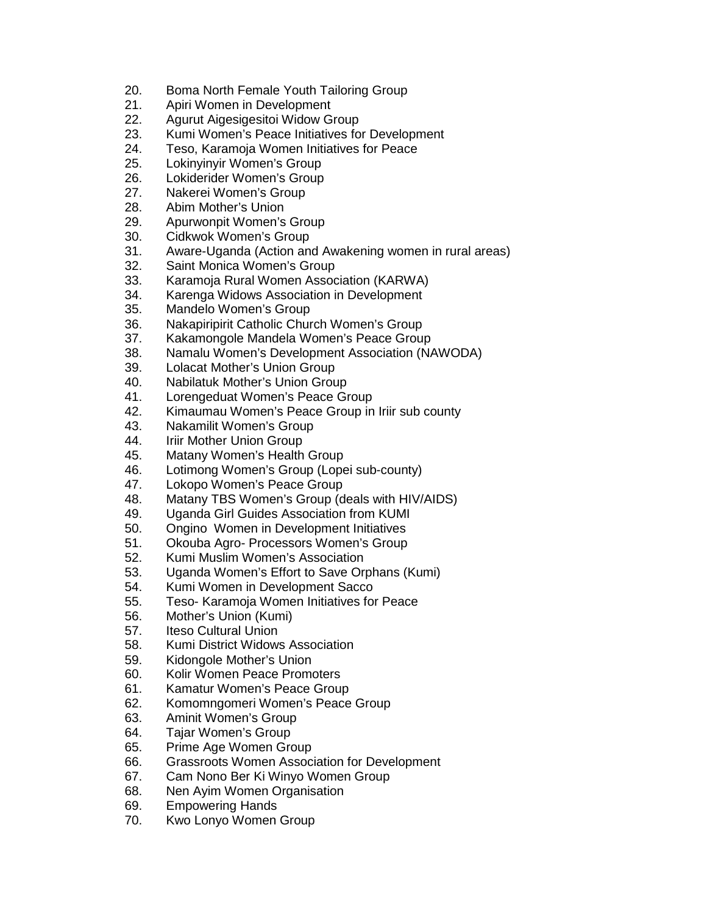- 20. Boma North Female Youth Tailoring Group
- 21. Apiri Women in Development
- 22. Agurut Aigesigesitoi Widow Group
- 23. Kumi Women's Peace Initiatives for Development
- 24. Teso, Karamoja Women Initiatives for Peace
- 25. Lokinyinyir Women's Group
- 26. Lokiderider Women's Group
- 27. Nakerei Women's Group
- 28. Abim Mother's Union
- 29. Apurwonpit Women's Group
- 30. Cidkwok Women's Group
- 31. Aware-Uganda (Action and Awakening women in rural areas)
- 32. Saint Monica Women's Group
- 33. Karamoja Rural Women Association (KARWA)
- 34. Karenga Widows Association in Development
- 35. Mandelo Women's Group
- 36. Nakapiripirit Catholic Church Women's Group
- 37. Kakamongole Mandela Women's Peace Group
- 38. Namalu Women's Development Association (NAWODA)
- 39. Lolacat Mother's Union Group
- 40. Nabilatuk Mother's Union Group
- 41. Lorengeduat Women's Peace Group
- 42. Kimaumau Women's Peace Group in Iriir sub county
- 43. Nakamilit Women's Group
- 44. Iriir Mother Union Group
- 45. Matany Women's Health Group
- 46. Lotimong Women's Group (Lopei sub-county)
- 47. Lokopo Women's Peace Group
- 48. Matany TBS Women's Group (deals with HIV/AIDS)
- 49. Uganda Girl Guides Association from KUMI
- 50. Ongino Women in Development Initiatives
- 51. Okouba Agro- Processors Women's Group
- 52. Kumi Muslim Women's Association
- 53. Uganda Women's Effort to Save Orphans (Kumi)
- 54. Kumi Women in Development Sacco
- 55. Teso- Karamoja Women Initiatives for Peace
- 56. Mother's Union (Kumi)
- 57. Iteso Cultural Union
- 58. Kumi District Widows Association
- 59. Kidongole Mother's Union
- 60. Kolir Women Peace Promoters
- 61. Kamatur Women's Peace Group
- 62. Komomngomeri Women's Peace Group
- 63. Aminit Women's Group
- 64. Tajar Women's Group
- 65. Prime Age Women Group
- 66. Grassroots Women Association for Development
- 67. Cam Nono Ber Ki Winyo Women Group
- 68. Nen Ayim Women Organisation
- 69. Empowering Hands
- 70. Kwo Lonyo Women Group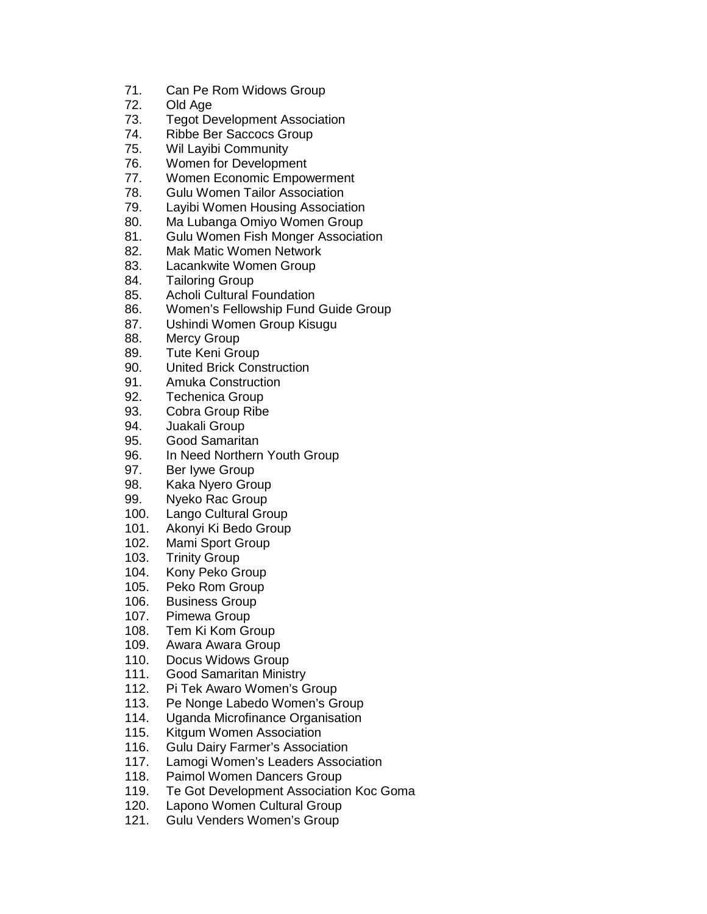- 71. Can Pe Rom Widows Group
- 72. Old Age
- 73. Tegot Development Association
- 74. Ribbe Ber Saccocs Group
- 75. Wil Layibi Community
- 76. Women for Development
- 77. Women Economic Empowerment
- 78. Gulu Women Tailor Association
- 79. Layibi Women Housing Association
- 80. Ma Lubanga Omiyo Women Group
- 81. Gulu Women Fish Monger Association
- 82. Mak Matic Women Network
- 83. Lacankwite Women Group
- 84. Tailoring Group
- 85. Acholi Cultural Foundation
- 86. Women's Fellowship Fund Guide Group
- 87. Ushindi Women Group Kisugu
- 88. Mercy Group
- 89. Tute Keni Group
- 90. United Brick Construction
- 91. Amuka Construction
- 92. Techenica Group
- 93. Cobra Group Ribe
- 94. Juakali Group
- 95. Good Samaritan
- 96. In Need Northern Youth Group
- 97. Ber Iywe Group
- 98. Kaka Nyero Group
- 99. Nyeko Rac Group
- 100. Lango Cultural Group
- 101. Akonyi Ki Bedo Group
- 102. Mami Sport Group
- 103. Trinity Group
- 104. Kony Peko Group
- 105. Peko Rom Group
- 106. Business Group
- 107. Pimewa Group
- 108. Tem Ki Kom Group
- 109. Awara Awara Group
- 110. Docus Widows Group
- 111. Good Samaritan Ministry
- 112. Pi Tek Awaro Women's Group
- 113. Pe Nonge Labedo Women's Group
- 114. Uganda Microfinance Organisation
- 115. Kitgum Women Association
- 116. Gulu Dairy Farmer's Association
- 117. Lamogi Women's Leaders Association
- 118. Paimol Women Dancers Group
- 119. Te Got Development Association Koc Goma
- 120. Lapono Women Cultural Group
- 121. Gulu Venders Women's Group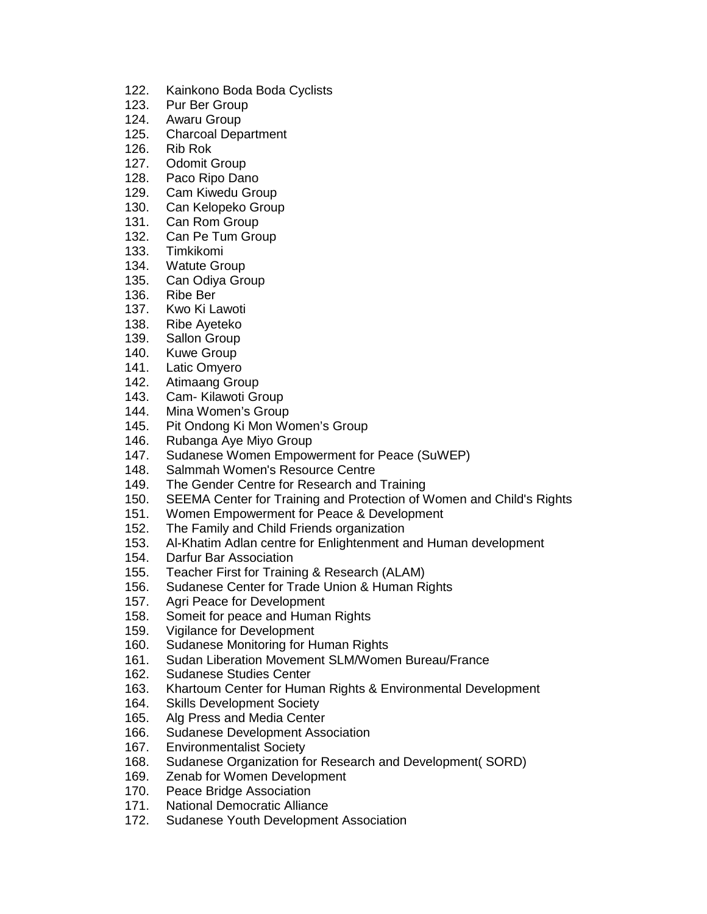- 122. Kainkono Boda Boda Cyclists
- 123. Pur Ber Group
- 124. Awaru Group
- 125. Charcoal Department
- 126. Rib Rok
- 127. Odomit Group
- 128. Paco Ripo Dano
- 129. Cam Kiwedu Group
- 130. Can Kelopeko Group
- 131. Can Rom Group
- 132. Can Pe Tum Group
- 133. Timkikomi
- 134. Watute Group
- 135. Can Odiya Group
- 136. Ribe Ber
- 137. Kwo Ki Lawoti
- 138. Ribe Ayeteko
- 139. Sallon Group
- 140. Kuwe Group
- 141. Latic Omyero
- 142. Atimaang Group
- 143. Cam- Kilawoti Group
- 144. Mina Women's Group
- 145. Pit Ondong Ki Mon Women's Group<br>146. Rubanga Ave Mivo Group
- Rubanga Aye Miyo Group
- 147. Sudanese Women Empowerment for Peace (SuWEP)
- 148. Salmmah Women's Resource Centre
- 149. The Gender Centre for Research and Training
- 150. SEEMA Center for Training and Protection of Women and Child's Rights
- 151. Women Empowerment for Peace & Development
- 152. The Family and Child Friends organization
- 153. Al-Khatim Adlan centre for Enlightenment and Human development
- 154. Darfur Bar Association
- 155. Teacher First for Training & Research (ALAM)
- 156. Sudanese Center for Trade Union & Human Rights
- 157. Agri Peace for Development
- 158. Someit for peace and Human Rights
- 159. Vigilance for Development
- 160. Sudanese Monitoring for Human Rights
- 161. Sudan Liberation Movement SLM/Women Bureau/France
- 162. Sudanese Studies Center
- 163. Khartoum Center for Human Rights & Environmental Development
- 164. Skills Development Society
- 165. Alg Press and Media Center
- 166. Sudanese Development Association
- 167. Environmentalist Society
- 168. Sudanese Organization for Research and Development (SORD)<br>169. Zenab for Women Development
- Zenab for Women Development
- 170. Peace Bridge Association
- 171. National Democratic Alliance
- 172. Sudanese Youth Development Association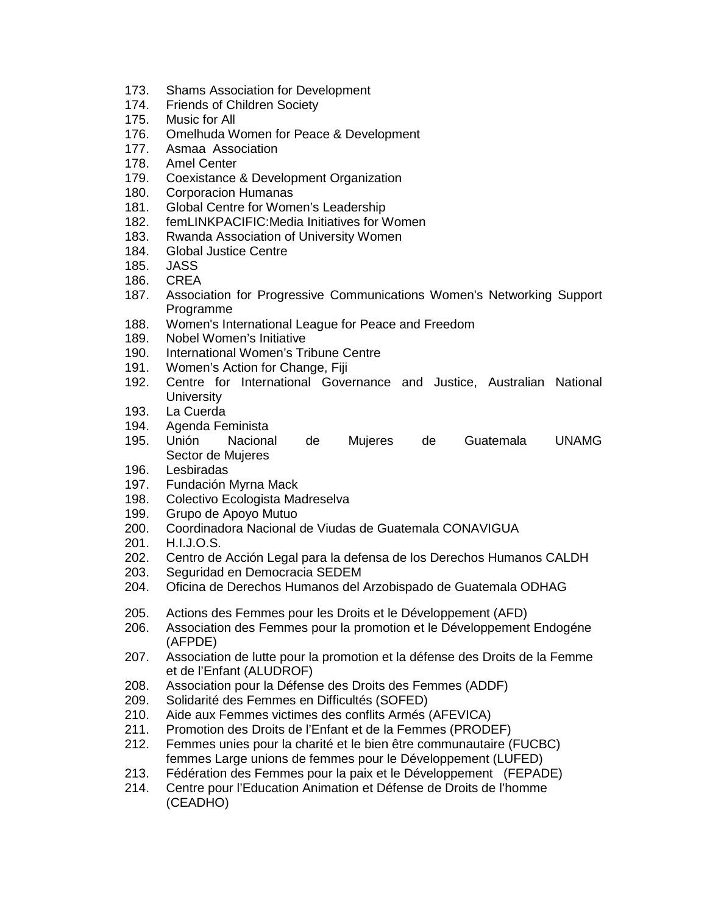- 173. Shams Association for Development
- 174. Friends of Children Society
- 175. Music for All
- 176. Omelhuda Women for Peace & Development
- 177. Asmaa Association
- 178. Amel Center
- 179. Coexistance & Development Organization
- 180. Corporacion Humanas
- 181. Global Centre for Women's Leadership
- 182. femLINKPACIFIC:Media Initiatives for Women
- 183. Rwanda Association of University Women
- 184. Global Justice Centre
- 185. JASS
- 186. CREA
- 187. Association for Progressive Communications Women's Networking Support Programme
- 188. Women's International League for Peace and Freedom
- 189. Nobel Women's Initiative
- 190. International Women's Tribune Centre
- 191. Women's Action for Change, Fiji
- 192. Centre for International Governance and Justice, Australian National **University**
- 193. La Cuerda
- 194. Agenda Feminista
- 195. Unión Nacional de Mujeres de Guatemala UNAMG Sector de Mujeres
- 196. Lesbiradas
- 197. Fundación Myrna Mack
- 198. Colectivo Ecologista Madreselva
- 199. Grupo de Apoyo Mutuo
- 200. Coordinadora Nacional de Viudas de Guatemala CONAVIGUA
- 201. H.I.J.O.S.
- 202. Centro de Acción Legal para la defensa de los Derechos Humanos CALDH
- 203. Seguridad en Democracia SEDEM
- 204. Oficina de Derechos Humanos del Arzobispado de Guatemala ODHAG
- 205. Actions des Femmes pour les Droits et le Développement (AFD)
- 206. Association des Femmes pour la promotion et le Développement Endogéne (AFPDE)
- 207. Association de lutte pour la promotion et la défense des Droits de la Femme et de l'Enfant (ALUDROF)
- 208. Association pour la Défense des Droits des Femmes (ADDF)
- 209. Solidarité des Femmes en Difficultés (SOFED)
- 210. Aide aux Femmes victimes des conflits Armés (AFEVICA)
- 211. Promotion des Droits de l'Enfant et de la Femmes (PRODEF)
- 212. Femmes unies pour la charité et le bien être communautaire (FUCBC) femmes Large unions de femmes pour le Développement (LUFED)
- 213. Fédération des Femmes pour la paix et le Développement (FEPADE)
- 214. Centre pour l'Education Animation et Défense de Droits de l'homme (CEADHO)